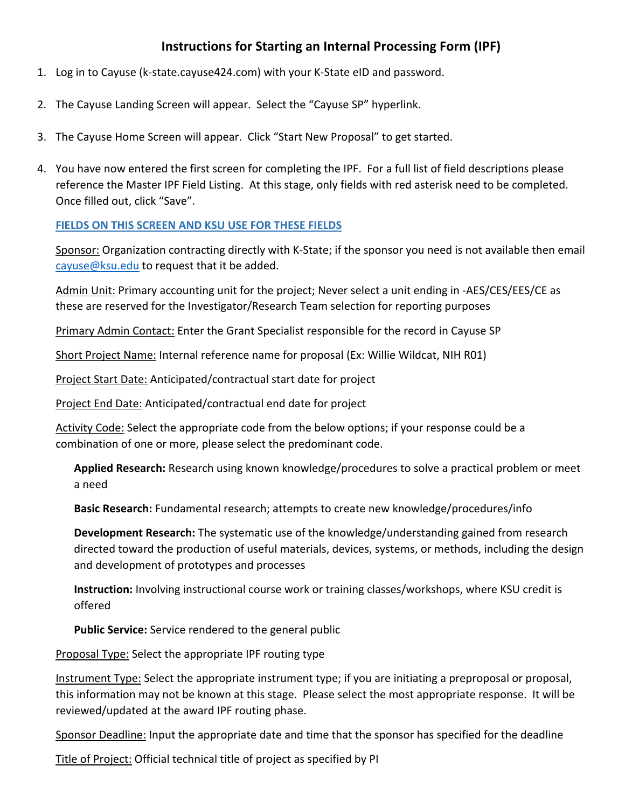## **Instructions for Starting an Internal Processing Form (IPF)**

- 1. Log in to Cayuse (k-state.cayuse424.com) with your K-State eID and password.
- 2. The Cayuse Landing Screen will appear. Select the "Cayuse SP" hyperlink.
- 3. The Cayuse Home Screen will appear. Click "Start New Proposal" to get started.
- 4. You have now entered the first screen for completing the IPF. For a full list of field descriptions please reference the Master IPF Field Listing. At this stage, only fields with red asterisk need to be completed. Once filled out, click "Save".

## **FIELDS ON THIS SCREEN AND KSU USE FOR THESE FIELDS**

Sponsor: Organization contracting directly with K-State; if the sponsor you need is not available then email cayuse@ksu.edu to request that it be added.

Admin Unit: Primary accounting unit for the project; Never select a unit ending in -AES/CES/EES/CE as these are reserved for the Investigator/Research Team selection for reporting purposes

Primary Admin Contact: Enter the Grant Specialist responsible for the record in Cayuse SP

Short Project Name: Internal reference name for proposal (Ex: Willie Wildcat, NIH R01)

Project Start Date: Anticipated/contractual start date for project

Project End Date: Anticipated/contractual end date for project

Activity Code: Select the appropriate code from the below options; if your response could be a combination of one or more, please select the predominant code.

**Applied Research:** Research using known knowledge/procedures to solve a practical problem or meet a need

**Basic Research:** Fundamental research; attempts to create new knowledge/procedures/info

**Development Research:** The systematic use of the knowledge/understanding gained from research directed toward the production of useful materials, devices, systems, or methods, including the design and development of prototypes and processes

**Instruction:** Involving instructional course work or training classes/workshops, where KSU credit is offered

**Public Service:** Service rendered to the general public

Proposal Type: Select the appropriate IPF routing type

Instrument Type: Select the appropriate instrument type; if you are initiating a preproposal or proposal, this information may not be known at this stage. Please select the most appropriate response. It will be reviewed/updated at the award IPF routing phase.

Sponsor Deadline: Input the appropriate date and time that the sponsor has specified for the deadline

Title of Project: Official technical title of project as specified by PI